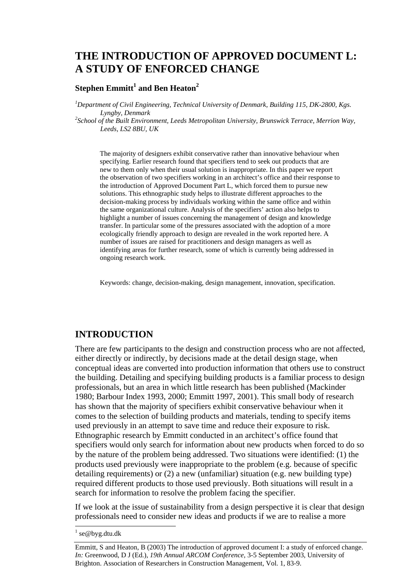# **THE INTRODUCTION OF APPROVED DOCUMENT L: A STUDY OF ENFORCED CHANGE**

## ${\bf \text{Stephen Emmitt}^{1}}$  and Ben Heaton $^{2}$

<sup>1</sup>Department of Civil Engineering, Technical University of Denmark, Building 115, DK-2800, Kgs.

*Lyngby, Denmark 2 School of the Built Environment, Leeds Metropolitan University, Brunswick Terrace, Merrion Way, Leeds, LS2 8BU, UK* 

The majority of designers exhibit conservative rather than innovative behaviour when specifying. Earlier research found that specifiers tend to seek out products that are new to them only when their usual solution is inappropriate. In this paper we report the observation of two specifiers working in an architect's office and their response to the introduction of Approved Document Part L, which forced them to pursue new solutions. This ethnographic study helps to illustrate different approaches to the decision-making process by individuals working within the same office and within the same organizational culture. Analysis of the specifiers' action also helps to highlight a number of issues concerning the management of design and knowledge transfer. In particular some of the pressures associated with the adoption of a more ecologically friendly approach to design are revealed in the work reported here. A number of issues are raised for practitioners and design managers as well as identifying areas for further research, some of which is currently being addressed in ongoing research work.

Keywords: change, decision-making, design management, innovation, specification.

## **INTRODUCTION**

There are few participants to the design and construction process who are not affected, either directly or indirectly, by decisions made at the detail design stage, when conceptual ideas are converted into production information that others use to construct the building. Detailing and specifying building products is a familiar process to design professionals, but an area in which little research has been published (Mackinder 1980; Barbour Index 1993, 2000; Emmitt 1997, 2001). This small body of research has shown that the majority of specifiers exhibit conservative behaviour when it comes to the selection of building products and materials, tending to specify items used previously in an attempt to save time and reduce their exposure to risk. Ethnographic research by Emmitt conducted in an architect's office found that specifiers would only search for information about new products when forced to do so by the nature of the problem being addressed. Two situations were identified: (1) the products used previously were inappropriate to the problem (e.g. because of specific detailing requirements) or (2) a new (unfamiliar) situation (e.g. new building type) required different products to those used previously. Both situations will result in a search for information to resolve the problem facing the specifier.

If we look at the issue of sustainability from a design perspective it is clear that design professionals need to consider new ideas and products if we are to realise a more

<sup>&</sup>lt;sup>1</sup> se@byg.dtu.dk

Emmitt, S and Heaton, B (2003) The introduction of approved document I: a study of enforced change. *In:* Greenwood, D J (Ed.), *19th Annual ARCOM Conference*, 3-5 September 2003, University of Brighton. Association of Researchers in Construction Management, Vol. 1, 83-9.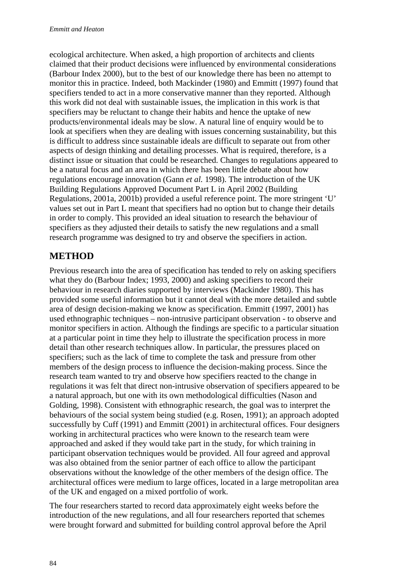ecological architecture. When asked, a high proportion of architects and clients claimed that their product decisions were influenced by environmental considerations (Barbour Index 2000), but to the best of our knowledge there has been no attempt to monitor this in practice. Indeed, both Mackinder (1980) and Emmitt (1997) found that specifiers tended to act in a more conservative manner than they reported. Although this work did not deal with sustainable issues, the implication in this work is that specifiers may be reluctant to change their habits and hence the uptake of new products/environmental ideals may be slow. A natural line of enquiry would be to look at specifiers when they are dealing with issues concerning sustainability, but this is difficult to address since sustainable ideals are difficult to separate out from other aspects of design thinking and detailing processes. What is required, therefore, is a distinct issue or situation that could be researched. Changes to regulations appeared to be a natural focus and an area in which there has been little debate about how regulations encourage innovation (Gann *et al.* 1998). The introduction of the UK Building Regulations Approved Document Part L in April 2002 (Building Regulations, 2001a, 2001b) provided a useful reference point. The more stringent 'U' values set out in Part L meant that specifiers had no option but to change their details in order to comply. This provided an ideal situation to research the behaviour of specifiers as they adjusted their details to satisfy the new regulations and a small research programme was designed to try and observe the specifiers in action.

## **METHOD**

Previous research into the area of specification has tended to rely on asking specifiers what they do (Barbour Index; 1993, 2000) and asking specifiers to record their behaviour in research diaries supported by interviews (Mackinder 1980). This has provided some useful information but it cannot deal with the more detailed and subtle area of design decision-making we know as specification. Emmitt (1997, 2001) has used ethnographic techniques – non-intrusive participant observation - to observe and monitor specifiers in action. Although the findings are specific to a particular situation at a particular point in time they help to illustrate the specification process in more detail than other research techniques allow. In particular, the pressures placed on specifiers; such as the lack of time to complete the task and pressure from other members of the design process to influence the decision-making process. Since the research team wanted to try and observe how specifiers reacted to the change in regulations it was felt that direct non-intrusive observation of specifiers appeared to be a natural approach, but one with its own methodological difficulties (Nason and Golding, 1998). Consistent with ethnographic research, the goal was to interpret the behaviours of the social system being studied (e.g. Rosen, 1991); an approach adopted successfully by Cuff (1991) and Emmitt (2001) in architectural offices. Four designers working in architectural practices who were known to the research team were approached and asked if they would take part in the study, for which training in participant observation techniques would be provided. All four agreed and approval was also obtained from the senior partner of each office to allow the participant observations without the knowledge of the other members of the design office. The architectural offices were medium to large offices, located in a large metropolitan area of the UK and engaged on a mixed portfolio of work.

The four researchers started to record data approximately eight weeks before the introduction of the new regulations, and all four researchers reported that schemes were brought forward and submitted for building control approval before the April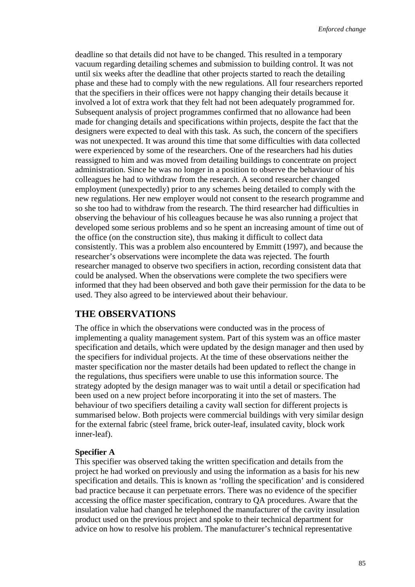deadline so that details did not have to be changed. This resulted in a temporary vacuum regarding detailing schemes and submission to building control. It was not until six weeks after the deadline that other projects started to reach the detailing phase and these had to comply with the new regulations. All four researchers reported that the specifiers in their offices were not happy changing their details because it involved a lot of extra work that they felt had not been adequately programmed for. Subsequent analysis of project programmes confirmed that no allowance had been made for changing details and specifications within projects, despite the fact that the designers were expected to deal with this task. As such, the concern of the specifiers was not unexpected. It was around this time that some difficulties with data collected were experienced by some of the researchers. One of the researchers had his duties reassigned to him and was moved from detailing buildings to concentrate on project administration. Since he was no longer in a position to observe the behaviour of his colleagues he had to withdraw from the research. A second researcher changed employment (unexpectedly) prior to any schemes being detailed to comply with the new regulations. Her new employer would not consent to the research programme and so she too had to withdraw from the research. The third researcher had difficulties in observing the behaviour of his colleagues because he was also running a project that developed some serious problems and so he spent an increasing amount of time out of the office (on the construction site), thus making it difficult to collect data consistently. This was a problem also encountered by Emmitt (1997), and because the researcher's observations were incomplete the data was rejected. The fourth researcher managed to observe two specifiers in action, recording consistent data that could be analysed. When the observations were complete the two specifiers were informed that they had been observed and both gave their permission for the data to be used. They also agreed to be interviewed about their behaviour.

## **THE OBSERVATIONS**

The office in which the observations were conducted was in the process of implementing a quality management system. Part of this system was an office master specification and details, which were updated by the design manager and then used by the specifiers for individual projects. At the time of these observations neither the master specification nor the master details had been updated to reflect the change in the regulations, thus specifiers were unable to use this information source. The strategy adopted by the design manager was to wait until a detail or specification had been used on a new project before incorporating it into the set of masters. The behaviour of two specifiers detailing a cavity wall section for different projects is summarised below. Both projects were commercial buildings with very similar design for the external fabric (steel frame, brick outer-leaf, insulated cavity, block work inner-leaf).

#### **Specifier A**

This specifier was observed taking the written specification and details from the project he had worked on previously and using the information as a basis for his new specification and details. This is known as 'rolling the specification' and is considered bad practice because it can perpetuate errors. There was no evidence of the specifier accessing the office master specification, contrary to QA procedures. Aware that the insulation value had changed he telephoned the manufacturer of the cavity insulation product used on the previous project and spoke to their technical department for advice on how to resolve his problem. The manufacturer's technical representative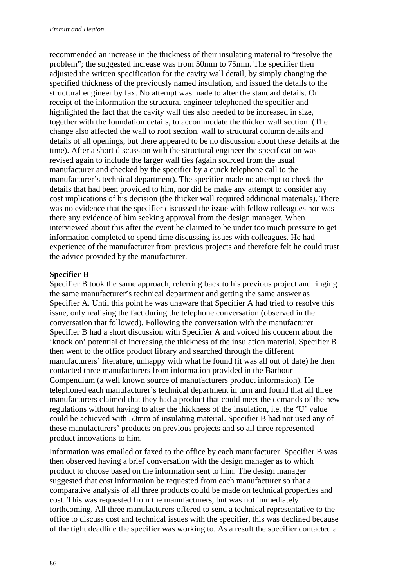recommended an increase in the thickness of their insulating material to "resolve the problem"; the suggested increase was from 50mm to 75mm. The specifier then adjusted the written specification for the cavity wall detail, by simply changing the specified thickness of the previously named insulation, and issued the details to the structural engineer by fax. No attempt was made to alter the standard details. On receipt of the information the structural engineer telephoned the specifier and highlighted the fact that the cavity wall ties also needed to be increased in size, together with the foundation details, to accommodate the thicker wall section. (The change also affected the wall to roof section, wall to structural column details and details of all openings, but there appeared to be no discussion about these details at the time). After a short discussion with the structural engineer the specification was revised again to include the larger wall ties (again sourced from the usual manufacturer and checked by the specifier by a quick telephone call to the manufacturer's technical department). The specifier made no attempt to check the details that had been provided to him, nor did he make any attempt to consider any cost implications of his decision (the thicker wall required additional materials). There was no evidence that the specifier discussed the issue with fellow colleagues nor was there any evidence of him seeking approval from the design manager. When interviewed about this after the event he claimed to be under too much pressure to get information completed to spend time discussing issues with colleagues. He had experience of the manufacturer from previous projects and therefore felt he could trust the advice provided by the manufacturer.

#### **Specifier B**

Specifier B took the same approach, referring back to his previous project and ringing the same manufacturer's technical department and getting the same answer as Specifier A. Until this point he was unaware that Specifier A had tried to resolve this issue, only realising the fact during the telephone conversation (observed in the conversation that followed). Following the conversation with the manufacturer Specifier B had a short discussion with Specifier A and voiced his concern about the 'knock on' potential of increasing the thickness of the insulation material. Specifier B then went to the office product library and searched through the different manufacturers' literature, unhappy with what he found (it was all out of date) he then contacted three manufacturers from information provided in the Barbour Compendium (a well known source of manufacturers product information). He telephoned each manufacturer's technical department in turn and found that all three manufacturers claimed that they had a product that could meet the demands of the new regulations without having to alter the thickness of the insulation, i.e. the 'U' value could be achieved with 50mm of insulating material. Specifier B had not used any of these manufacturers' products on previous projects and so all three represented product innovations to him.

Information was emailed or faxed to the office by each manufacturer. Specifier B was then observed having a brief conversation with the design manager as to which product to choose based on the information sent to him. The design manager suggested that cost information be requested from each manufacturer so that a comparative analysis of all three products could be made on technical properties and cost. This was requested from the manufacturers, but was not immediately forthcoming. All three manufacturers offered to send a technical representative to the office to discuss cost and technical issues with the specifier, this was declined because of the tight deadline the specifier was working to. As a result the specifier contacted a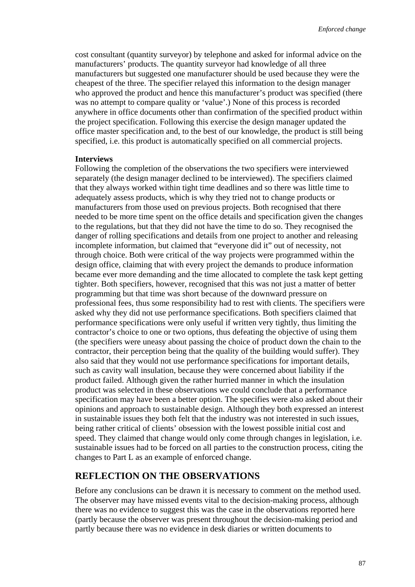cost consultant (quantity surveyor) by telephone and asked for informal advice on the manufacturers' products. The quantity surveyor had knowledge of all three manufacturers but suggested one manufacturer should be used because they were the cheapest of the three. The specifier relayed this information to the design manager who approved the product and hence this manufacturer's product was specified (there was no attempt to compare quality or 'value'.) None of this process is recorded anywhere in office documents other than confirmation of the specified product within the project specification. Following this exercise the design manager updated the office master specification and, to the best of our knowledge, the product is still being specified, i.e. this product is automatically specified on all commercial projects.

#### **Interviews**

Following the completion of the observations the two specifiers were interviewed separately (the design manager declined to be interviewed). The specifiers claimed that they always worked within tight time deadlines and so there was little time to adequately assess products, which is why they tried not to change products or manufacturers from those used on previous projects. Both recognised that there needed to be more time spent on the office details and specification given the changes to the regulations, but that they did not have the time to do so. They recognised the danger of rolling specifications and details from one project to another and releasing incomplete information, but claimed that "everyone did it" out of necessity, not through choice. Both were critical of the way projects were programmed within the design office, claiming that with every project the demands to produce information became ever more demanding and the time allocated to complete the task kept getting tighter. Both specifiers, however, recognised that this was not just a matter of better programming but that time was short because of the downward pressure on professional fees, thus some responsibility had to rest with clients. The specifiers were asked why they did not use performance specifications. Both specifiers claimed that performance specifications were only useful if written very tightly, thus limiting the contractor's choice to one or two options, thus defeating the objective of using them (the specifiers were uneasy about passing the choice of product down the chain to the contractor, their perception being that the quality of the building would suffer). They also said that they would not use performance specifications for important details, such as cavity wall insulation, because they were concerned about liability if the product failed. Although given the rather hurried manner in which the insulation product was selected in these observations we could conclude that a performance specification may have been a better option. The specifies were also asked about their opinions and approach to sustainable design. Although they both expressed an interest in sustainable issues they both felt that the industry was not interested in such issues, being rather critical of clients' obsession with the lowest possible initial cost and speed. They claimed that change would only come through changes in legislation, i.e. sustainable issues had to be forced on all parties to the construction process, citing the changes to Part L as an example of enforced change.

## **REFLECTION ON THE OBSERVATIONS**

Before any conclusions can be drawn it is necessary to comment on the method used. The observer may have missed events vital to the decision-making process, although there was no evidence to suggest this was the case in the observations reported here (partly because the observer was present throughout the decision-making period and partly because there was no evidence in desk diaries or written documents to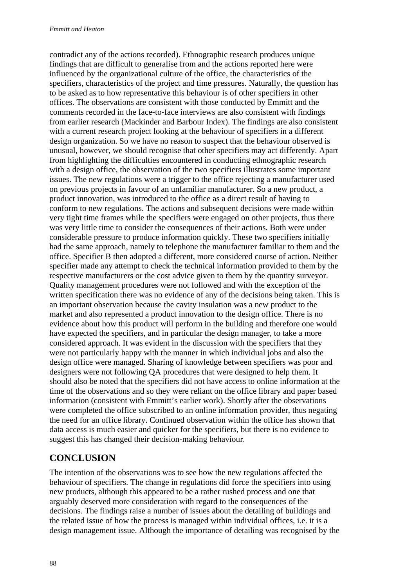contradict any of the actions recorded). Ethnographic research produces unique findings that are difficult to generalise from and the actions reported here were influenced by the organizational culture of the office, the characteristics of the specifiers, characteristics of the project and time pressures. Naturally, the question has to be asked as to how representative this behaviour is of other specifiers in other offices. The observations are consistent with those conducted by Emmitt and the comments recorded in the face-to-face interviews are also consistent with findings from earlier research (Mackinder and Barbour Index). The findings are also consistent with a current research project looking at the behaviour of specifiers in a different design organization. So we have no reason to suspect that the behaviour observed is unusual, however, we should recognise that other specifiers may act differently. Apart from highlighting the difficulties encountered in conducting ethnographic research with a design office, the observation of the two specifiers illustrates some important issues. The new regulations were a trigger to the office rejecting a manufacturer used on previous projects in favour of an unfamiliar manufacturer. So a new product, a product innovation, was introduced to the office as a direct result of having to conform to new regulations. The actions and subsequent decisions were made within very tight time frames while the specifiers were engaged on other projects, thus there was very little time to consider the consequences of their actions. Both were under considerable pressure to produce information quickly. These two specifiers initially had the same approach, namely to telephone the manufacturer familiar to them and the office. Specifier B then adopted a different, more considered course of action. Neither specifier made any attempt to check the technical information provided to them by the respective manufacturers or the cost advice given to them by the quantity surveyor. Quality management procedures were not followed and with the exception of the written specification there was no evidence of any of the decisions being taken. This is an important observation because the cavity insulation was a new product to the market and also represented a product innovation to the design office. There is no evidence about how this product will perform in the building and therefore one would have expected the specifiers, and in particular the design manager, to take a more considered approach. It was evident in the discussion with the specifiers that they were not particularly happy with the manner in which individual jobs and also the design office were managed. Sharing of knowledge between specifiers was poor and designers were not following QA procedures that were designed to help them. It should also be noted that the specifiers did not have access to online information at the time of the observations and so they were reliant on the office library and paper based information (consistent with Emmitt's earlier work). Shortly after the observations were completed the office subscribed to an online information provider, thus negating the need for an office library. Continued observation within the office has shown that data access is much easier and quicker for the specifiers, but there is no evidence to suggest this has changed their decision-making behaviour.

## **CONCLUSION**

The intention of the observations was to see how the new regulations affected the behaviour of specifiers. The change in regulations did force the specifiers into using new products, although this appeared to be a rather rushed process and one that arguably deserved more consideration with regard to the consequences of the decisions. The findings raise a number of issues about the detailing of buildings and the related issue of how the process is managed within individual offices, i.e. it is a design management issue. Although the importance of detailing was recognised by the